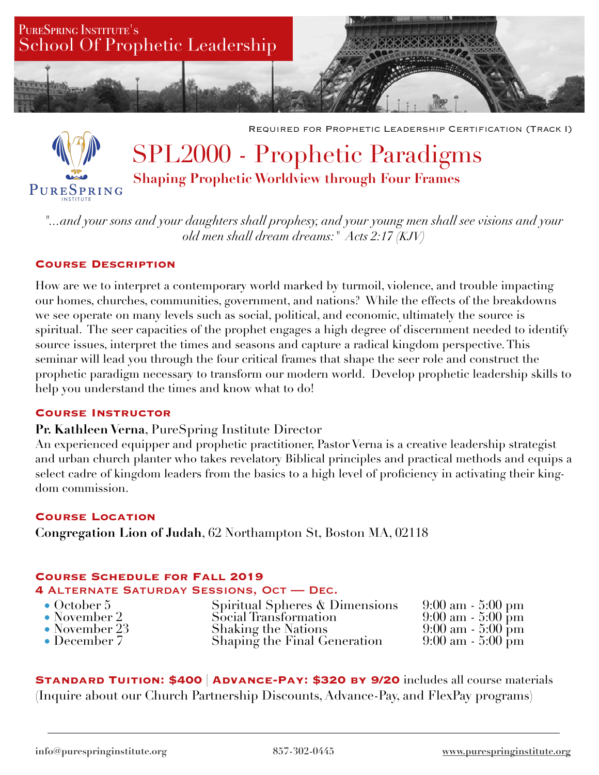

Required for Prophetic Leadership Certification (Track I)

# SPL2000 - Prophetic Paradigms **Shaping Prophetic Worldview through Four Frames**  PURESPRING

*"...and your sons and your daughters shall prophesy, and your young men shall see visions and your old men shall dream dreams:" Acts 2:17 (KJV)* 

## **Course Description**

How are we to interpret a contemporary world marked by turmoil, violence, and trouble impacting our homes, churches, communities, government, and nations? While the effects of the breakdowns we see operate on many levels such as social, political, and economic, ultimately the source is spiritual. The seer capacities of the prophet engages a high degree of discernment needed to identify source issues, interpret the times and seasons and capture a radical kingdom perspective. This seminar will lead you through the four critical frames that shape the seer role and construct the prophetic paradigm necessary to transform our modern world. Develop prophetic leadership skills to help you understand the times and know what to do!

## **Course Instructor**

## **Pr. Kathleen Verna**, PureSpring Institute Director

An experienced equipper and prophetic practitioner, Pastor Verna is a creative leadership strategist and urban church planter who takes revelatory Biblical principles and practical methods and equips a select cadre of kingdom leaders from the basics to a high level of proficiency in activating their kingdom commission.

## **Course Location**

**Congregation Lion of Judah**, 62 Northampton St, Boston MA, 02118

## **Course Schedule for Fall 2019**

#### **4** Alternate Saturday Sessions, Oct — Dec.

• October 5 Spiritual Spheres & Dimensions 9:00 am - 5:00 pm • November 2 Social Transformation 9:00 am - 5:00 pm • November 23 Shaking the Nations 9:00 am - 5:00 pm<br>• December 7 Shaping the Final Generation 9:00 am - 5:00 pm Shaping the Final Generation

**Standard Tuition: \$400** | **Advance-Pay: \$320 by 9/20** includes all course materials (Inquire about our Church Partnership Discounts, Advance-Pay, and FlexPay programs)